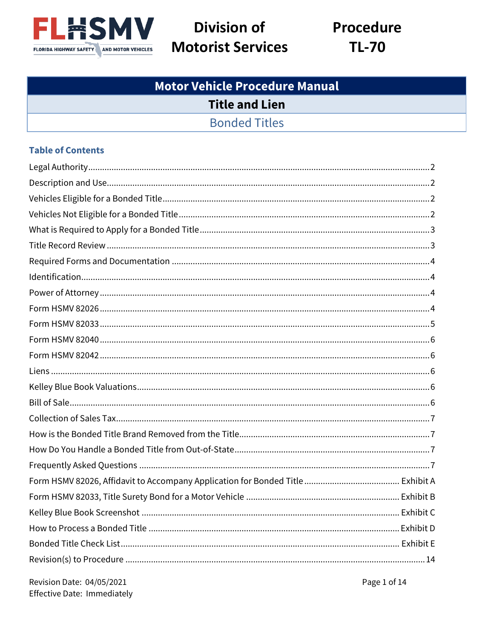

# **Division of Motorist Services**

**Procedure TL-70** 

# **Motor Vehicle Procedure Manual Title and Lien Bonded Titles**

#### **Table of Contents**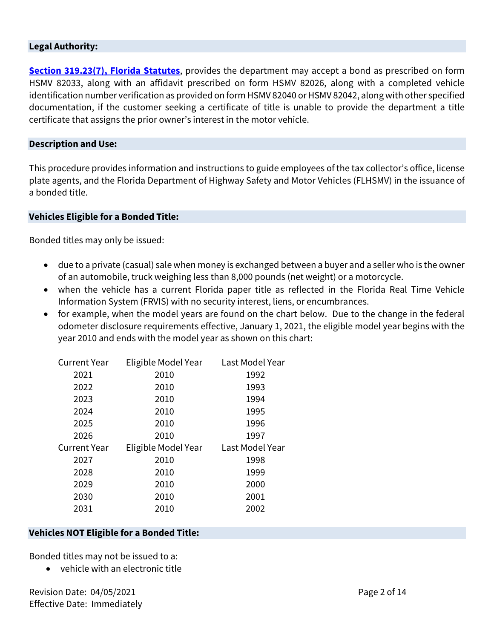#### **Legal Authority:**

**[Section 319.23\(7\), Florida Statutes](http://www.leg.state.fl.us/statutes/index.cfm?mode=View%20Statutes&SubMenu=1&App_mode=Display_Statute&Search_String=319.23&URL=0300-0399/0319/Sections/0319.23.html)**, provides the department may accept a bond as prescribed on form HSMV 82033, along with an affidavit prescribed on form HSMV 82026, along with a completed vehicle identification number verification as provided on form HSMV 82040 or HSMV 82042, along with other specified documentation, if the customer seeking a certificate of title is unable to provide the department a title certificate that assigns the prior owner's interest in the motor vehicle.

#### **Description and Use:**

This procedure provides information and instructions to guide employees of the tax collector's office, license plate agents, and the Florida Department of Highway Safety and Motor Vehicles (FLHSMV) in the issuance of a bonded title.

#### **Vehicles Eligible for a Bonded Title:**

Bonded titles may only be issued:

- due to a private (casual) sale when money is exchanged between a buyer and a seller who is the owner of an automobile, truck weighing less than 8,000 pounds (net weight) or a motorcycle.
- when the vehicle has a current Florida paper title as reflected in the Florida Real Time Vehicle Information System (FRVIS) with no security interest, liens, or encumbrances.
- for example, when the model years are found on the chart below. Due to the change in the federal odometer disclosure requirements effective, January 1, 2021, the eligible model year begins with the year 2010 and ends with the model year as shown on this chart:

| <b>Current Year</b> | Eligible Model Year Last Model Year |                 |  |
|---------------------|-------------------------------------|-----------------|--|
| 2021                | 2010                                | 1992            |  |
| 2022                | 2010                                | 1993            |  |
| 2023                | 2010                                | 1994            |  |
| 2024                | 2010                                | 1995            |  |
| 2025                | 2010                                | 1996            |  |
| 2026                | 2010                                | 1997            |  |
| <b>Current Year</b> | Eligible Model Year                 | Last Model Year |  |
| 2027                | 2010                                | 1998            |  |
| 2028                | 2010                                | 1999            |  |
| 2029                | 2010                                | 2000            |  |
| 2030                | 2010                                | 2001            |  |
| 2031                | 2010                                | 2002            |  |

### **Vehicles NOT Eligible for a Bonded Title:**

Bonded titles may not be issued to a:

• vehicle with an electronic title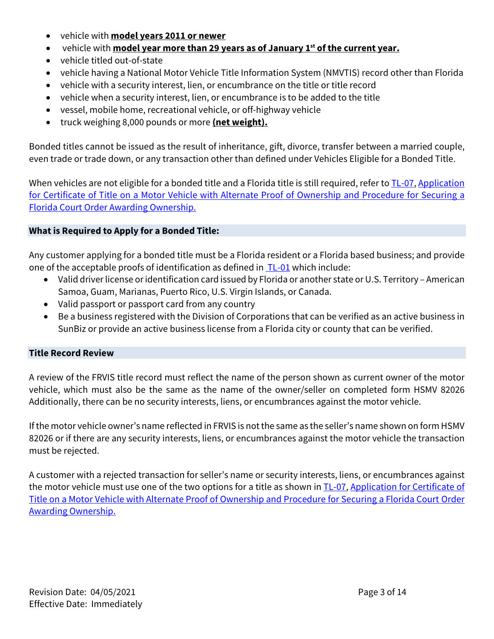- vehicle with **model years 2011 or newer**
- vehicle with **model year more than 29 years as of January 1st of the current year.**
- vehicle titled out-of-state
- vehicle having a National Motor Vehicle Title Information System (NMVTIS) record other than Florida
- vehicle with a security interest, lien, or encumbrance on the title or title record
- vehicle when a security interest, lien, or encumbrance is to be added to the title
- vessel, mobile home, recreational vehicle, or off-highway vehicle
- truck weighing 8,000 pounds or more **(net weight).**

Bonded titles cannot be issued as the result of inheritance, gift, divorce, transfer between a married couple, even trade or trade down, or any transaction other than defined under Vehicles Eligible for a Bonded Title.

When vehicles are not eligible for a bonded title and a Florida title is still required, refer to TL-07, Application for Certificate of Title on [a Motor Vehicle with Alternate Proof of Ownership and Procedure for Securing a](http://hsmvpartnernet.flhsmv.gov/MV%20Security%20Documents/1%20Title%20&%20Lien%20Procedures/TL-07%20Application%20for%20Certificate%20of%20Title%20on%20a%20MV%20with%20Alternate%20Proof%20of%20Ownership%20and%20Procedure%20for%20Securing%20a%20Florida%20Court%20Order%20Awarding%20Ownership.pdf)  [Florida Court Order Awarding Ownership.](http://hsmvpartnernet.flhsmv.gov/MV%20Security%20Documents/1%20Title%20&%20Lien%20Procedures/TL-07%20Application%20for%20Certificate%20of%20Title%20on%20a%20MV%20with%20Alternate%20Proof%20of%20Ownership%20and%20Procedure%20for%20Securing%20a%20Florida%20Court%20Order%20Awarding%20Ownership.pdf) 

#### **What is Required to Apply for a Bonded Title:**

Any customer applying for a bonded title must be a Florida resident or a Florida based business; and provide one of the acceptable proofs of identification as defined in [TL-01](http://hsmvpartnernet.flhsmv.gov/MV%20Security%20Documents/1%20Title%20&%20Lien%20Procedures/TL-01%20Signature%20Requirements.pdf) which include:

- Valid driver license or identification card issued by Florida or another state or U.S. Territory American Samoa, Guam, Marianas, Puerto Rico, U.S. Virgin Islands, or Canada.
- Valid passport or passport card from any country
- Be a business registered with the Division of Corporations that can be verified as an active business in SunBiz or provide an active business license from a Florida city or county that can be verified.

### **Title Record Review**

A review of the FRVIS title record must reflect the name of the person shown as current owner of the motor vehicle, which must also be the same as the name of the owner/seller on completed form HSMV 82026 Additionally, there can be no security interests, liens, or encumbrances against the motor vehicle.

If the motor vehicle owner's name reflected in FRVIS is not the same as the seller's name shown on form HSMV 82026 or if there are any security interests, liens, or encumbrances against the motor vehicle the transaction must be rejected.

A customer with a rejected transaction for seller's name or security interests, liens, or encumbrances against the motor vehicle must use one of the two options for a title as shown in TL-07, Application for Certificate of [Title on a Motor Vehicle with Alternate Proof of Ownership and Procedure for Securing a Florida Court Order](http://hsmvpartnernet.flhsmv.gov/MV%20Security%20Documents/1%20Title%20&%20Lien%20Procedures/TL-07%20Application%20for%20Certificate%20of%20Title%20on%20a%20MV%20with%20Alternate%20Proof%20of%20Ownership%20and%20Procedure%20for%20Securing%20a%20Florida%20Court%20Order%20Awarding%20Ownership.pdf)  [Awarding Ownership.](http://hsmvpartnernet.flhsmv.gov/MV%20Security%20Documents/1%20Title%20&%20Lien%20Procedures/TL-07%20Application%20for%20Certificate%20of%20Title%20on%20a%20MV%20with%20Alternate%20Proof%20of%20Ownership%20and%20Procedure%20for%20Securing%20a%20Florida%20Court%20Order%20Awarding%20Ownership.pdf)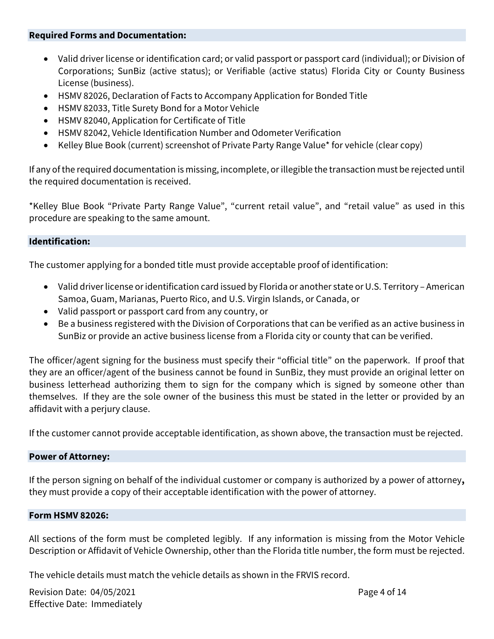#### **Required Forms and Documentation:**

- Valid driver license or identification card; or valid passport or passport card (individual); or Division of Corporations; SunBiz (active status); or Verifiable (active status) Florida City or County Business License (business).
- HSMV 82026, Declaration of Facts to Accompany Application for Bonded Title
- HSMV 82033, Title Surety Bond for a Motor Vehicle
- HSMV 82040, Application for Certificate of Title
- HSMV 82042, Vehicle Identification Number and Odometer Verification
- Kelley Blue Book (current) screenshot of Private Party Range Value\* for vehicle (clear copy)

If any of the required documentation is missing, incomplete, or illegible the transaction must be rejected until the required documentation is received.

\*Kelley Blue Book "Private Party Range Value", "current retail value", and "retail value" as used in this procedure are speaking to the same amount.

#### **Identification:**

The customer applying for a bonded title must provide acceptable proof of identification:

- Valid driver license or identification card issued by Florida or another state or U.S. Territory American Samoa, Guam, Marianas, Puerto Rico, and U.S. Virgin Islands, or Canada, or
- Valid passport or passport card from any country, or
- Be a business registered with the Division of Corporations that can be verified as an active business in SunBiz or provide an active business license from a Florida city or county that can be verified.

The officer/agent signing for the business must specify their "official title" on the paperwork. If proof that they are an officer/agent of the business cannot be found in SunBiz, they must provide an original letter on business letterhead authorizing them to sign for the company which is signed by someone other than themselves. If they are the sole owner of the business this must be stated in the letter or provided by an affidavit with a perjury clause.

If the customer cannot provide acceptable identification, as shown above, the transaction must be rejected.

#### **Power of Attorney:**

If the person signing on behalf of the individual customer or company is authorized by a power of attorney**,**  they must provide a copy of their acceptable identification with the power of attorney.

#### **Form HSMV 82026:**

All sections of the form must be completed legibly. If any information is missing from the Motor Vehicle Description or Affidavit of Vehicle Ownership, other than the Florida title number, the form must be rejected.

The vehicle details must match the vehicle details as shown in the FRVIS record.

Revision Date: 04/05/2021 Page 4 of 14 Effective Date: Immediately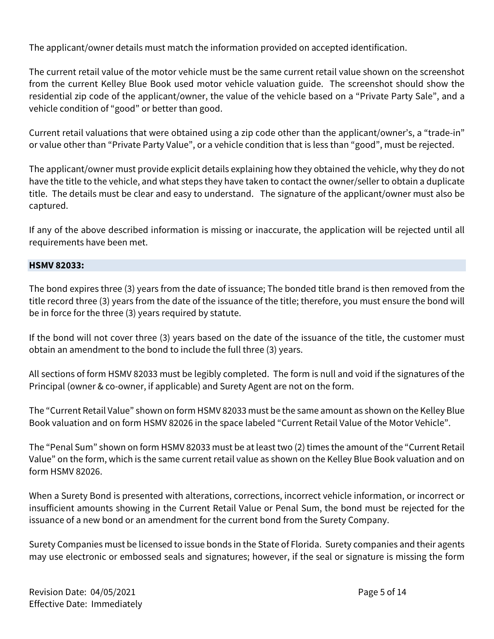The applicant/owner details must match the information provided on accepted identification.

The current retail value of the motor vehicle must be the same current retail value shown on the screenshot from the current Kelley Blue Book used motor vehicle valuation guide. The screenshot should show the residential zip code of the applicant/owner, the value of the vehicle based on a "Private Party Sale", and a vehicle condition of "good" or better than good.

Current retail valuations that were obtained using a zip code other than the applicant/owner's, a "trade-in" or value other than "Private Party Value", or a vehicle condition that is less than "good", must be rejected.

The applicant/owner must provide explicit details explaining how they obtained the vehicle, why they do not have the title to the vehicle, and what steps they have taken to contact the owner/seller to obtain a duplicate title. The details must be clear and easy to understand. The signature of the applicant/owner must also be captured.

If any of the above described information is missing or inaccurate, the application will be rejected until all requirements have been met.

#### **HSMV 82033:**

The bond expires three (3) years from the date of issuance; The bonded title brand is then removed from the title record three (3) years from the date of the issuance of the title; therefore, you must ensure the bond will be in force for the three (3) years required by statute.

If the bond will not cover three (3) years based on the date of the issuance of the title, the customer must obtain an amendment to the bond to include the full three (3) years.

All sections of form HSMV 82033 must be legibly completed. The form is null and void if the signatures of the Principal (owner & co-owner, if applicable) and Surety Agent are not on the form.

The "Current Retail Value" shown on form HSMV 82033 must be the same amount as shown on the Kelley Blue Book valuation and on form HSMV 82026 in the space labeled "Current Retail Value of the Motor Vehicle".

The "Penal Sum" shown on form HSMV 82033 must be at least two (2) times the amount of the "Current Retail Value" on the form, which is the same current retail value as shown on the Kelley Blue Book valuation and on form HSMV 82026.

When a Surety Bond is presented with alterations, corrections, incorrect vehicle information, or incorrect or insufficient amounts showing in the Current Retail Value or Penal Sum, the bond must be rejected for the issuance of a new bond or an amendment for the current bond from the Surety Company.

Surety Companies must be licensed to issue bonds in the State of Florida. Surety companies and their agents may use electronic or embossed seals and signatures; however, if the seal or signature is missing the form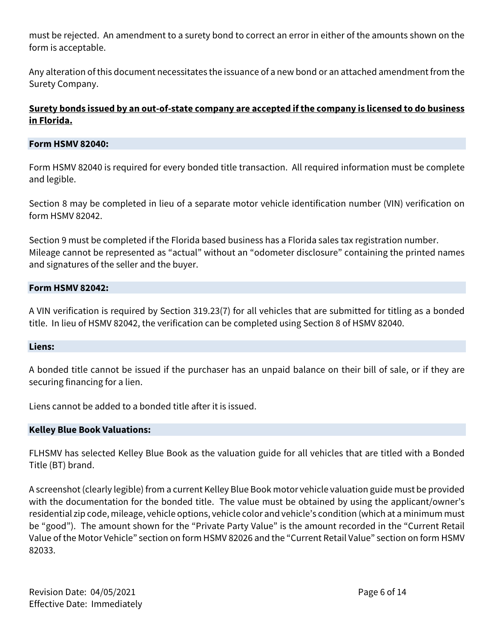must be rejected. An amendment to a surety bond to correct an error in either of the amounts shown on the form is acceptable.

Any alteration of this document necessitates the issuance of a new bond or an attached amendment from the Surety Company.

## **Surety bonds issued by an out-of-state company are accepted ifthe company is licensed to do business in Florida.**

#### **Form HSMV 82040:**

Form HSMV 82040 is required for every bonded title transaction. All required information must be complete and legible.

Section 8 may be completed in lieu of a separate motor vehicle identification number (VIN) verification on form HSMV 82042.

Section 9 must be completed if the Florida based business has a Florida sales tax registration number. Mileage cannot be represented as "actual" without an "odometer disclosure" containing the printed names and signatures of the seller and the buyer.

#### **Form HSMV 82042:**

A VIN verification is required by Section 319.23(7) for all vehicles that are submitted for titling as a bonded title. In lieu of HSMV 82042, the verification can be completed using Section 8 of HSMV 82040.

#### **Liens:**

A bonded title cannot be issued if the purchaser has an unpaid balance on their bill of sale, or if they are securing financing for a lien.

Liens cannot be added to a bonded title after it is issued.

#### **Kelley Blue Book Valuations:**

FLHSMV has selected Kelley Blue Book as the valuation guide for all vehicles that are titled with a Bonded Title (BT) brand.

A screenshot (clearly legible) from a current Kelley Blue Book motor vehicle valuation guide must be provided with the documentation for the bonded title. The value must be obtained by using the applicant/owner's residential zip code, mileage, vehicle options, vehicle color and vehicle's condition (which at a minimum must be "good"). The amount shown for the "Private Party Value" is the amount recorded in the "Current Retail Value of the Motor Vehicle" section on form HSMV 82026 and the "Current Retail Value" section on form HSMV 82033.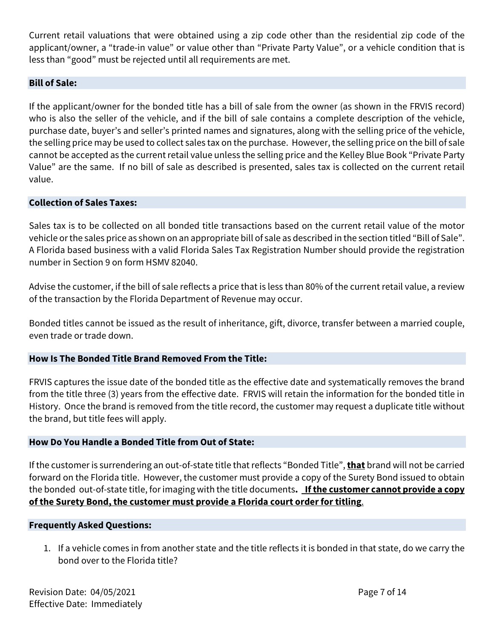Current retail valuations that were obtained using a zip code other than the residential zip code of the applicant/owner, a "trade-in value" or value other than "Private Party Value", or a vehicle condition that is less than "good" must be rejected until all requirements are met.

#### **Bill of Sale:**

If the applicant/owner for the bonded title has a bill of sale from the owner (as shown in the FRVIS record) who is also the seller of the vehicle, and if the bill of sale contains a complete description of the vehicle, purchase date, buyer's and seller's printed names and signatures, along with the selling price of the vehicle, the selling price may be used to collect sales tax on the purchase. However, the selling price on the bill of sale cannot be accepted as the current retail value unless the selling price and the Kelley Blue Book "Private Party Value" are the same. If no bill of sale as described is presented, sales tax is collected on the current retail value.

#### **Collection of Sales Taxes:**

Sales tax is to be collected on all bonded title transactions based on the current retail value of the motor vehicle or the sales price as shown on an appropriate bill of sale as described in the section titled "Bill of Sale". A Florida based business with a valid Florida Sales Tax Registration Number should provide the registration number in Section 9 on form HSMV 82040.

Advise the customer, if the bill of sale reflects a price that is less than 80% of the current retail value, a review of the transaction by the Florida Department of Revenue may occur.

Bonded titles cannot be issued as the result of inheritance, gift, divorce, transfer between a married couple, even trade or trade down.

#### **How Is The Bonded Title Brand Removed From the Title:**

FRVIS captures the issue date of the bonded title as the effective date and systematically removes the brand from the title three (3) years from the effective date. FRVIS will retain the information for the bonded title in History. Once the brand is removed from the title record, the customer may request a duplicate title without the brand, but title fees will apply.

#### **How Do You Handle a Bonded Title from Out of State:**

If the customer is surrendering an out-of-state title that reflects "Bonded Title",**that** brand will not be carried forward on the Florida title. However, the customer must provide a copy of the Surety Bond issued to obtain the bonded out-of-state title, for imaging with the title documents**. If the customer cannot provide a copy of the Surety Bond, the customer must provide a Florida court order for titling**.

#### **Frequently Asked Questions:**

1. If a vehicle comes in from another state and the title reflects it is bonded in that state, do we carry the bond over to the Florida title?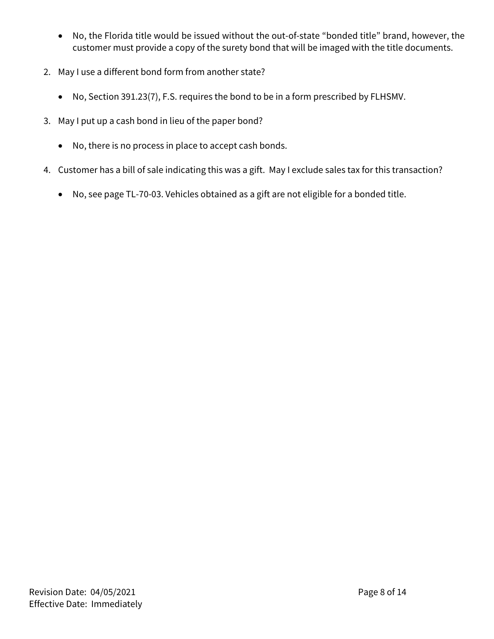- No, the Florida title would be issued without the out-of-state "bonded title" brand, however, the customer must provide a copy of the surety bond that will be imaged with the title documents.
- 2. May I use a different bond form from another state?
	- No, Section 391.23(7), F.S. requires the bond to be in a form prescribed by FLHSMV.
- 3. May I put up a cash bond in lieu of the paper bond?
	- No, there is no process in place to accept cash bonds.
- 4. Customer has a bill of sale indicating this was a gift. May I exclude sales tax for this transaction?
	- No, see page TL-70-03. Vehicles obtained as a gift are not eligible for a bonded title.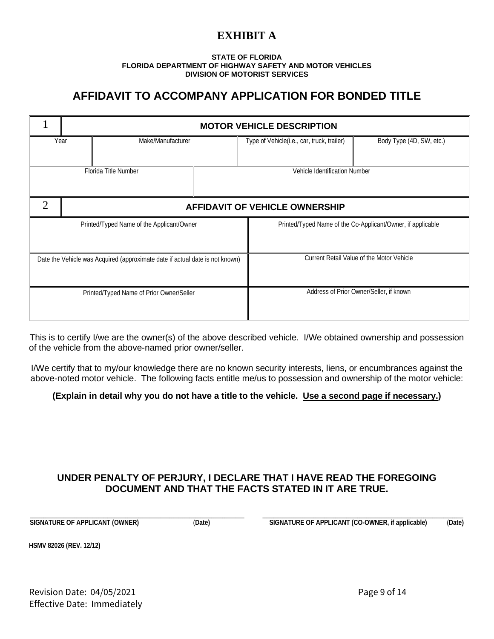# **EXHIBIT A**

#### **STATE OF FLORIDA FLORIDA DEPARTMENT OF HIGHWAY SAFETY AND MOTOR VEHICLES DIVISION OF MOTORIST SERVICES**

# **AFFIDAVIT TO ACCOMPANY APPLICATION FOR BONDED TITLE**

|                                                                              | <b>MOTOR VEHICLE DESCRIPTION</b>      |                                                             |                          |  |  |
|------------------------------------------------------------------------------|---------------------------------------|-------------------------------------------------------------|--------------------------|--|--|
| Year<br>Make/Manufacturer                                                    |                                       | Type of Vehicle(i.e., car, truck, trailer)                  | Body Type (4D, SW, etc.) |  |  |
| Florida Title Number<br>Vehicle Identification Number                        |                                       |                                                             |                          |  |  |
| $\overline{2}$                                                               | <b>AFFIDAVIT OF VEHICLE OWNERSHIP</b> |                                                             |                          |  |  |
| Printed/Typed Name of the Applicant/Owner                                    |                                       | Printed/Typed Name of the Co-Applicant/Owner, if applicable |                          |  |  |
| Date the Vehicle was Acquired (approximate date if actual date is not known) |                                       | Current Retail Value of the Motor Vehicle                   |                          |  |  |
| Printed/Typed Name of Prior Owner/Seller                                     |                                       | Address of Prior Owner/Seller, if known                     |                          |  |  |

This is to certify I/we are the owner(s) of the above described vehicle. I/We obtained ownership and possession of the vehicle from the above-named prior owner/seller.

I/We certify that to my/our knowledge there are no known security interests, liens, or encumbrances against the above-noted motor vehicle. The following facts entitle me/us to possession and ownership of the motor vehicle:

#### **(Explain in detail why you do not have a title to the vehicle. Use a second page if necessary.)**

# **UNDER PENALTY OF PERJURY, I DECLARE THAT I HAVE READ THE FOREGOING DOCUMENT AND THAT THE FACTS STATED IN IT ARE TRUE.**

\_\_\_\_\_\_\_\_\_\_\_\_\_\_\_\_\_\_\_\_\_\_\_\_\_\_\_\_\_\_\_\_\_\_\_\_\_\_\_\_\_\_\_\_\_\_\_\_\_\_\_\_\_\_\_\_\_\_\_\_\_\_\_\_\_\_\_\_\_\_\_\_\_\_\_\_\_\_\_\_\_\_\_\_\_\_\_\_\_\_\_\_\_\_\_\_\_ \_\_\_\_\_\_\_\_\_\_\_\_\_\_\_\_\_\_\_\_\_\_\_\_\_\_\_\_\_\_\_\_\_\_\_\_\_\_\_\_\_\_\_\_\_\_\_\_\_\_\_\_\_\_\_\_\_\_\_\_\_\_\_\_\_\_\_\_\_\_\_\_\_\_\_\_\_\_\_\_\_\_\_\_\_\_\_\_\_\_\_ **SIGNATURE OF APPLICANT (OWNER)** (**Date) SIGNATURE OF APPLICANT (CO-OWNER, if applicable)** (**Date)**

**HSMV 82026 (REV. 12/12)**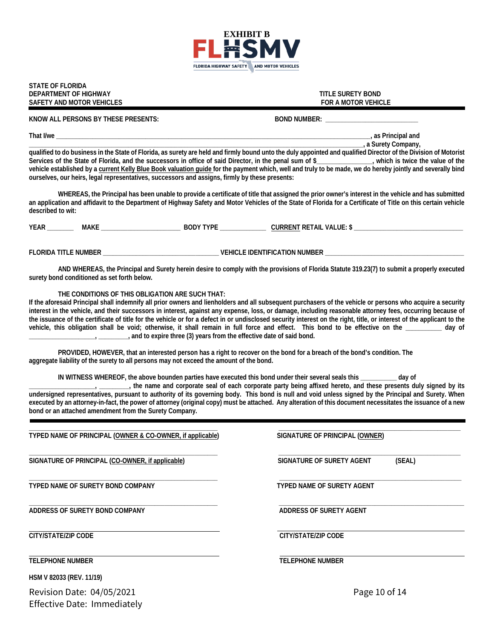

**STATE OF FLORIDA DEPARTMENT OF HIGHWAY TITLE SURETY BOND SAFETY AND MOTOR VEHICLES** 

#### KNOW ALL PERSONS BY THESE PRESENTS: **BOON ALL PERSONS BY THESE PRESENTS: BOON** BOND NUMBER:

**That I/we \_\_\_\_\_\_\_\_\_\_\_\_\_\_\_\_\_\_\_\_\_\_\_\_\_\_\_\_\_\_\_\_\_\_\_\_\_\_\_\_\_\_\_\_\_\_\_\_\_\_\_\_\_\_\_\_\_\_\_\_\_\_\_\_\_\_\_\_\_\_\_\_\_\_\_\_\_\_\_\_\_\_\_\_\_\_\_\_\_\_\_\_\_\_\_, as Principal and** 

**\_\_\_\_\_\_\_\_\_\_\_\_\_\_\_\_\_\_\_\_\_\_\_\_\_\_\_\_\_\_\_\_\_\_\_\_\_\_\_\_\_\_\_\_\_\_\_\_\_\_\_\_\_\_\_\_\_\_\_\_\_\_\_\_\_\_\_\_\_\_\_\_\_\_\_\_\_\_\_\_\_\_\_\_\_\_\_\_\_\_\_\_\_\_\_\_\_\_\_\_\_, a Surety Company,** 

**qualified to do business in the State of Florida, as surety are held and firmly bound unto the duly appointed and qualified Director of the Division of Motorist**  Services of the State of Florida, and the successors in office of said Director, in the penal sum of \$\_\_\_\_\_\_\_\_\_\_\_\_\_, which is twice the value of the vehicle established by a current Kelly Blue Book valuation guide for the payment which, well and truly to be made, we do hereby jointly and severally bind **ourselves, our heirs, legal representatives, successors and assigns, firmly by these presents:**

**WHEREAS, the Principal has been unable to provide a certificate of title that assigned the prior owner's interest in the vehicle and has submitted an application and affidavit to the Department of Highway Safety and Motor Vehicles of the State of Florida for a Certificate of Title on this certain vehicle described to wit:**

**YEAR \_\_\_\_\_\_\_\_ MAKE \_\_\_\_\_\_\_\_\_\_\_\_\_\_\_\_\_\_\_\_\_\_\_\_ BODY TYPE \_\_\_\_\_\_\_\_\_\_\_\_\_\_ CURRENT RETAIL VALUE: \$ \_\_\_\_\_\_\_\_\_\_\_\_\_\_\_\_\_\_\_\_\_\_\_\_\_\_\_\_\_\_\_\_\_**

FLORIDA TITLE NUMBER **External to the set of the set of the set of the set of the set of the set of the set of the set of the set of the set of the set of the set of the set of the set of the set of the set of the set of t** 

**AND WHEREAS, the Principal and Surety herein desire to comply with the provisions of Florida Statute 319.23(7) to submit a properly executed surety bond conditioned as set forth below.** 

**THE CONDITIONS OF THIS OBLIGATION ARE SUCH THAT:**

**If the aforesaid Principal shall indemnify all prior owners and lienholders and all subsequent purchasers of the vehicle or persons who acquire a security interest in the vehicle, and their successors in interest, against any expense, loss, or damage, including reasonable attorney fees, occurring because of the issuance of the certificate of title for the vehicle or for a defect in or undisclosed security interest on the right, title, or interest of the applicant to the vehicle, this obligation shall be void; otherwise, it shall remain in full force and effect. This bond to be effective on the \_\_\_\_\_\_\_\_\_\_\_ day of \_\_\_\_\_\_\_\_\_\_\_\_\_\_\_\_\_\_\_\_, \_\_\_\_\_\_\_\_\_, and to expire three (3) years from the effective date of said bond.**

**PROVIDED, HOWEVER, that an interested person has a right to recover on the bond for a breach of the bond's condition. The aggregate liability of the surety to all persons may not exceed the amount of the bond.**

**IN WITNESS WHEREOF, the above bounden parties have executed this bond under their several seals this \_\_\_\_\_\_\_\_\_\_\_ day of** 

**\_\_\_\_\_\_\_\_\_\_\_\_\_\_\_\_\_\_\_\_, \_\_\_\_\_\_\_\_\_, the name and corporate seal of each corporate party being affixed hereto, and these presents duly signed by its undersigned representatives, pursuant to authority of its governing body. This bond is null and void unless signed by the Principal and Surety. When executed by an attorney-in-fact, the power of attorney (original copy) must be attached. Any alteration of this document necessitates the issuance of a new bond or an attached amendment from the Surety Company.**

Revision Date: 04/05/2021 Page 10 of 14 **\_\_\_\_\_\_\_\_\_\_\_\_\_\_\_\_\_\_\_\_\_\_\_\_\_\_\_\_\_\_\_\_\_\_\_\_\_\_\_\_\_\_\_\_\_\_\_\_\_\_\_\_\_\_\_\_\_ \_\_\_\_\_\_\_\_\_\_\_\_\_\_\_\_\_\_\_\_\_\_\_\_\_\_\_\_\_\_\_\_\_\_\_\_\_\_\_\_\_\_\_\_\_\_\_\_\_\_\_\_\_\_\_ TYPED NAME OF PRINCIPAL (OWNER & CO-OWNER, if applicable) SIGNATURE OF PRINCIPAL (OWNER) \_\_\_\_\_\_\_\_\_\_\_\_\_\_\_\_\_\_\_\_\_\_\_\_\_\_\_\_\_\_\_\_\_\_\_\_\_\_\_\_\_\_\_\_\_\_\_\_\_\_\_\_\_\_\_\_\_ \_\_\_\_\_\_\_\_\_\_\_\_\_\_\_\_\_\_\_\_\_\_\_\_\_\_\_\_\_\_\_\_\_\_\_\_\_\_\_\_\_\_\_\_\_\_\_\_\_\_\_\_\_\_\_** SIGNATURE OF PRINCIPAL (CO-OWNER, if applicable) SIGNATURE OF SURETY AGENT (SEAL) **\_\_\_\_\_\_\_\_\_\_\_\_\_\_\_\_\_\_\_\_\_\_\_\_\_\_\_\_\_\_\_\_\_\_\_\_\_\_\_\_\_\_\_\_\_\_\_\_\_\_\_\_\_\_\_\_\_ \_\_\_\_\_\_\_\_\_\_\_\_\_\_\_\_\_\_\_\_\_\_\_\_\_\_\_\_\_\_\_\_\_\_\_\_\_\_\_\_\_\_\_\_\_\_\_\_\_\_\_\_\_\_\_ TYPED NAME OF SURETY BOND COMPANY TYPED NAME OF SURETY AGENT \_\_\_\_\_\_\_\_\_\_\_\_\_\_\_\_\_\_\_\_\_\_\_\_\_\_\_\_\_\_\_\_\_\_\_\_\_\_\_\_\_\_\_\_\_\_\_\_\_\_\_\_\_\_\_\_\_ \_\_\_\_\_\_\_\_\_\_\_\_\_\_\_\_\_\_\_\_\_\_\_\_\_\_\_\_\_\_\_\_\_\_\_\_\_\_\_\_\_\_\_\_\_\_\_\_\_\_\_\_\_\_\_\_** ADDRESS OF SURETY BOND COMPANY **ADDRESS OF SURETY AGENT CITY/STATE/ZIP CODE CITY/STATE/ZIP CODE TELEPHONE NUMBER TELEPHONE NUMBER HSM V 82033 (REV. 11/19)**

Effective Date: Immediately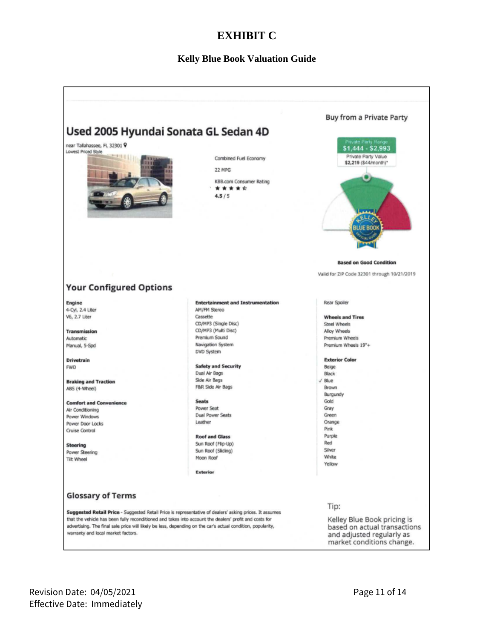# **EXHIBIT C**

#### **Kelly Blue Book Valuation Guide**

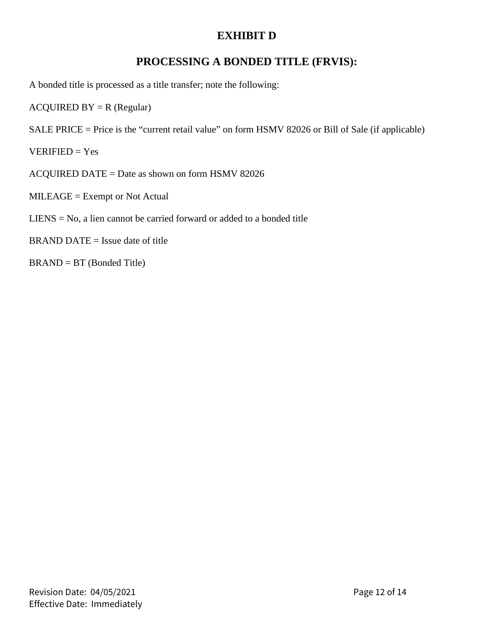# **EXHIBIT D**

# **PROCESSING A BONDED TITLE (FRVIS):**

A bonded title is processed as a title transfer; note the following:

 $ACQUIRED BY = R (Regular)$ 

SALE PRICE = Price is the "current retail value" on form HSMV 82026 or Bill of Sale (if applicable)

 $VERIFIED = Yes$ 

ACQUIRED DATE = Date as shown on form HSMV 82026

MILEAGE = Exempt or Not Actual

# $LENS = No$ , a lien cannot be carried forward or added to a bonded title

 $BRAND$  DATE = Issue date of title

BRAND = BT (Bonded Title)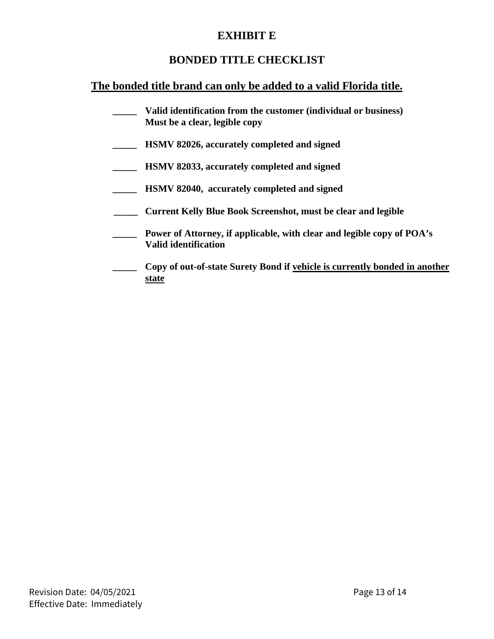# **EXHIBIT E**

# **BONDED TITLE CHECKLIST**

# **The bonded title brand can only be added to a valid Florida title.**

- **\_\_\_\_\_ Valid identification from the customer (individual or business) Must be a clear, legible copy**
- **\_\_\_\_\_ HSMV 82026, accurately completed and signed**
- **\_\_\_\_\_ HSMV 82033, accurately completed and signed**
- **\_\_\_\_\_ HSMV 82040, accurately completed and signed**
- **\_\_\_\_\_ Current Kelly Blue Book Screenshot, must be clear and legible**
- **\_\_\_\_\_ Power of Attorney, if applicable, with clear and legible copy of POA's Valid identification**
- **\_\_\_\_ Copy of out-of-state Surety Bond if vehicle is currently bonded in another state**